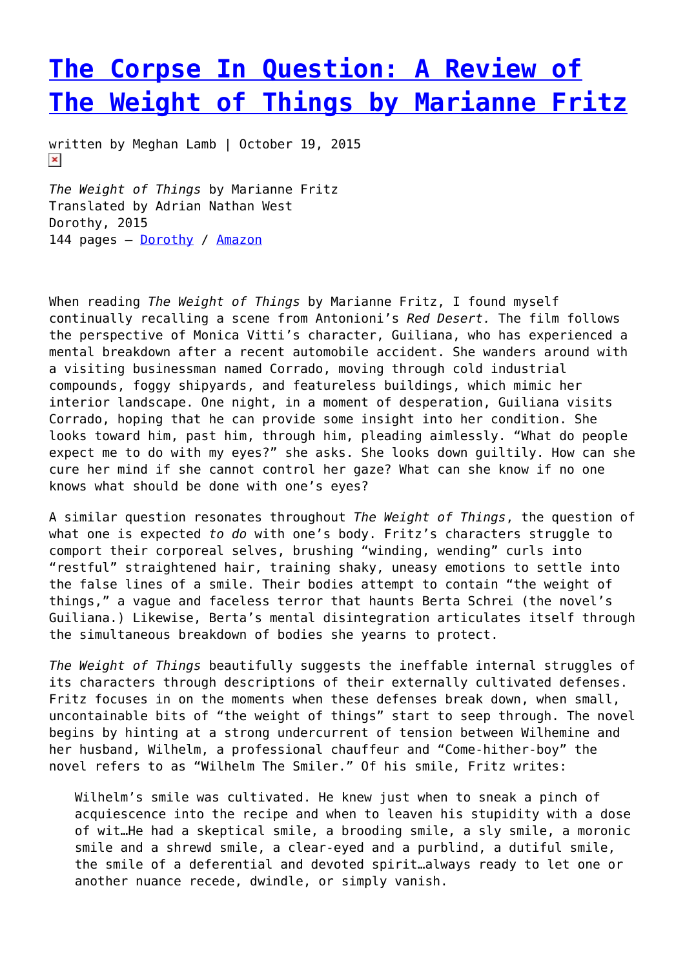## **[The Corpse In Question: A Review of](https://entropymag.org/the-corpse-in-question-a-review-of-the-weight-of-things-by-marianne-fritz/) [The Weight of Things by Marianne Fritz](https://entropymag.org/the-corpse-in-question-a-review-of-the-weight-of-things-by-marianne-fritz/)**

written by Meghan Lamb | October 19, 2015  $\pmb{\times}$ 

*The Weight of Things* by Marianne Fritz Translated by Adrian Nathan West Dorothy, 2015 144 pages - [Dorothy](http://dorothyproject.com/?post_type=book&p=288) / [Amazon](http://www.amazon.com/Weight-Things-Marianne-Fritz/dp/0989760774/ref=sr_1_1?ie=UTF8&qid=1444781449&sr=8-1&keywords=weight+of+things+marianne+fritz)

When reading *The Weight of Things* by Marianne Fritz, I found myself continually recalling a scene from Antonioni's *Red Desert.* The film follows the perspective of Monica Vitti's character, Guiliana, who has experienced a mental breakdown after a recent automobile accident. She wanders around with a visiting businessman named Corrado, moving through cold industrial compounds, foggy shipyards, and featureless buildings, which mimic her interior landscape. One night, in a moment of desperation, Guiliana visits Corrado, hoping that he can provide some insight into her condition. She looks toward him, past him, through him, pleading aimlessly. "What do people expect me to do with my eyes?" she asks. She looks down guiltily. How can she cure her mind if she cannot control her gaze? What can she know if no one knows what should be done with one's eyes?

A similar question resonates throughout *The Weight of Things*, the question of what one is expected *to do* with one's body. Fritz's characters struggle to comport their corporeal selves, brushing "winding, wending" curls into "restful" straightened hair, training shaky, uneasy emotions to settle into the false lines of a smile. Their bodies attempt to contain "the weight of things," a vague and faceless terror that haunts Berta Schrei (the novel's Guiliana.) Likewise, Berta's mental disintegration articulates itself through the simultaneous breakdown of bodies she yearns to protect.

*The Weight of Things* beautifully suggests the ineffable internal struggles of its characters through descriptions of their externally cultivated defenses. Fritz focuses in on the moments when these defenses break down, when small, uncontainable bits of "the weight of things" start to seep through. The novel begins by hinting at a strong undercurrent of tension between Wilhemine and her husband, Wilhelm, a professional chauffeur and "Come-hither-boy" the novel refers to as "Wilhelm The Smiler." Of his smile, Fritz writes:

Wilhelm's smile was cultivated. He knew just when to sneak a pinch of acquiescence into the recipe and when to leaven his stupidity with a dose of wit…He had a skeptical smile, a brooding smile, a sly smile, a moronic smile and a shrewd smile, a clear-eyed and a purblind, a dutiful smile, the smile of a deferential and devoted spirit…always ready to let one or another nuance recede, dwindle, or simply vanish.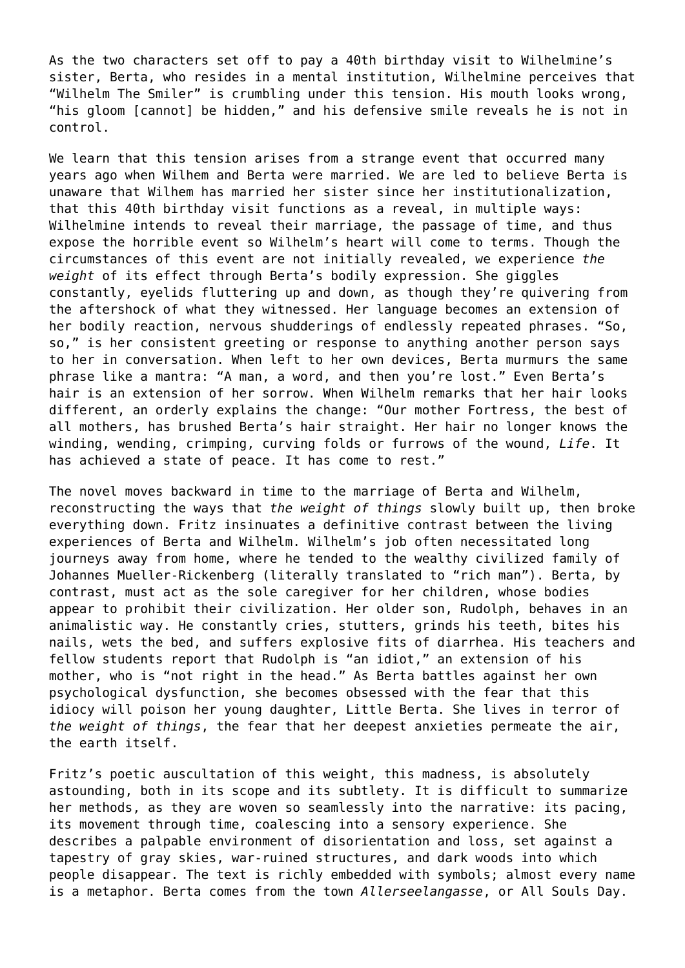As the two characters set off to pay a 40th birthday visit to Wilhelmine's sister, Berta, who resides in a mental institution, Wilhelmine perceives that "Wilhelm The Smiler" is crumbling under this tension. His mouth looks wrong, "his gloom [cannot] be hidden," and his defensive smile reveals he is not in control.

We learn that this tension arises from a strange event that occurred many years ago when Wilhem and Berta were married. We are led to believe Berta is unaware that Wilhem has married her sister since her institutionalization, that this 40th birthday visit functions as a reveal, in multiple ways: Wilhelmine intends to reveal their marriage, the passage of time, and thus expose the horrible event so Wilhelm's heart will come to terms. Though the circumstances of this event are not initially revealed, we experience *the weight* of its effect through Berta's bodily expression. She giggles constantly, eyelids fluttering up and down, as though they're quivering from the aftershock of what they witnessed. Her language becomes an extension of her bodily reaction, nervous shudderings of endlessly repeated phrases. "So, so," is her consistent greeting or response to anything another person says to her in conversation. When left to her own devices, Berta murmurs the same phrase like a mantra: "A man, a word, and then you're lost." Even Berta's hair is an extension of her sorrow. When Wilhelm remarks that her hair looks different, an orderly explains the change: "Our mother Fortress, the best of all mothers, has brushed Berta's hair straight. Her hair no longer knows the winding, wending, crimping, curving folds or furrows of the wound, *Life*. It has achieved a state of peace. It has come to rest."

The novel moves backward in time to the marriage of Berta and Wilhelm, reconstructing the ways that *the weight of things* slowly built up, then broke everything down. Fritz insinuates a definitive contrast between the living experiences of Berta and Wilhelm. Wilhelm's job often necessitated long journeys away from home, where he tended to the wealthy civilized family of Johannes Mueller-Rickenberg (literally translated to "rich man"). Berta, by contrast, must act as the sole caregiver for her children, whose bodies appear to prohibit their civilization. Her older son, Rudolph, behaves in an animalistic way. He constantly cries, stutters, grinds his teeth, bites his nails, wets the bed, and suffers explosive fits of diarrhea. His teachers and fellow students report that Rudolph is "an idiot," an extension of his mother, who is "not right in the head." As Berta battles against her own psychological dysfunction, she becomes obsessed with the fear that this idiocy will poison her young daughter, Little Berta. She lives in terror of *the weight of things*, the fear that her deepest anxieties permeate the air, the earth itself.

Fritz's poetic auscultation of this weight, this madness, is absolutely astounding, both in its scope and its subtlety. It is difficult to summarize her methods, as they are woven so seamlessly into the narrative: its pacing, its movement through time, coalescing into a sensory experience. She describes a palpable environment of disorientation and loss, set against a tapestry of gray skies, war-ruined structures, and dark woods into which people disappear. The text is richly embedded with symbols; almost every name is a metaphor. Berta comes from the town *Allerseelangasse*, or All Souls Day.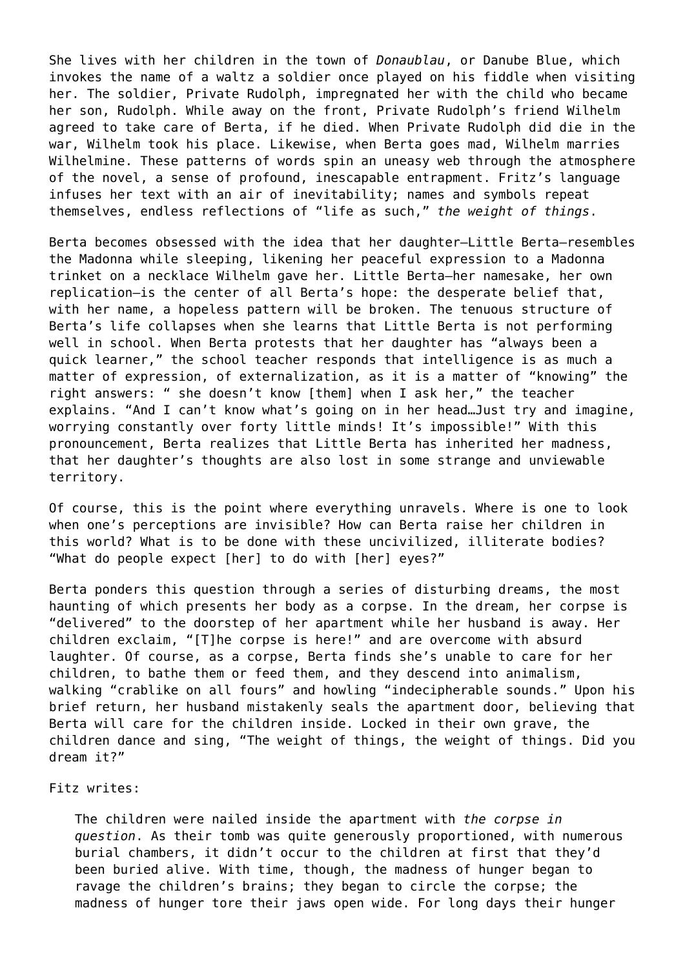She lives with her children in the town of *Donaublau*, or Danube Blue, which invokes the name of a waltz a soldier once played on his fiddle when visiting her. The soldier, Private Rudolph, impregnated her with the child who became her son, Rudolph. While away on the front, Private Rudolph's friend Wilhelm agreed to take care of Berta, if he died. When Private Rudolph did die in the war, Wilhelm took his place. Likewise, when Berta goes mad, Wilhelm marries Wilhelmine. These patterns of words spin an uneasy web through the atmosphere of the novel, a sense of profound, inescapable entrapment. Fritz's language infuses her text with an air of inevitability; names and symbols repeat themselves, endless reflections of "life as such," *the weight of things*.

Berta becomes obsessed with the idea that her daughter—Little Berta—resembles the Madonna while sleeping, likening her peaceful expression to a Madonna trinket on a necklace Wilhelm gave her. Little Berta—her namesake, her own replication—is the center of all Berta's hope: the desperate belief that, with her name, a hopeless pattern will be broken. The tenuous structure of Berta's life collapses when she learns that Little Berta is not performing well in school. When Berta protests that her daughter has "always been a quick learner," the school teacher responds that intelligence is as much a matter of expression, of externalization, as it is a matter of "knowing" the right answers: " she doesn't know [them] when I ask her," the teacher explains. "And I can't know what's going on in her head…Just try and imagine, worrying constantly over forty little minds! It's impossible!" With this pronouncement, Berta realizes that Little Berta has inherited her madness, that her daughter's thoughts are also lost in some strange and unviewable territory.

Of course, this is the point where everything unravels. Where is one to look when one's perceptions are invisible? How can Berta raise her children in this world? What is to be done with these uncivilized, illiterate bodies? "What do people expect [her] to do with [her] eyes?"

Berta ponders this question through a series of disturbing dreams, the most haunting of which presents her body as a corpse. In the dream, her corpse is "delivered" to the doorstep of her apartment while her husband is away. Her children exclaim, "[T]he corpse is here!" and are overcome with absurd laughter. Of course, as a corpse, Berta finds she's unable to care for her children, to bathe them or feed them, and they descend into animalism, walking "crablike on all fours" and howling "indecipherable sounds." Upon his brief return, her husband mistakenly seals the apartment door, believing that Berta will care for the children inside. Locked in their own grave, the children dance and sing, "The weight of things, the weight of things. Did you dream it?"

## Fitz writes:

The children were nailed inside the apartment with *the corpse in question*. As their tomb was quite generously proportioned, with numerous burial chambers, it didn't occur to the children at first that they'd been buried alive. With time, though, the madness of hunger began to ravage the children's brains; they began to circle the corpse; the madness of hunger tore their jaws open wide. For long days their hunger